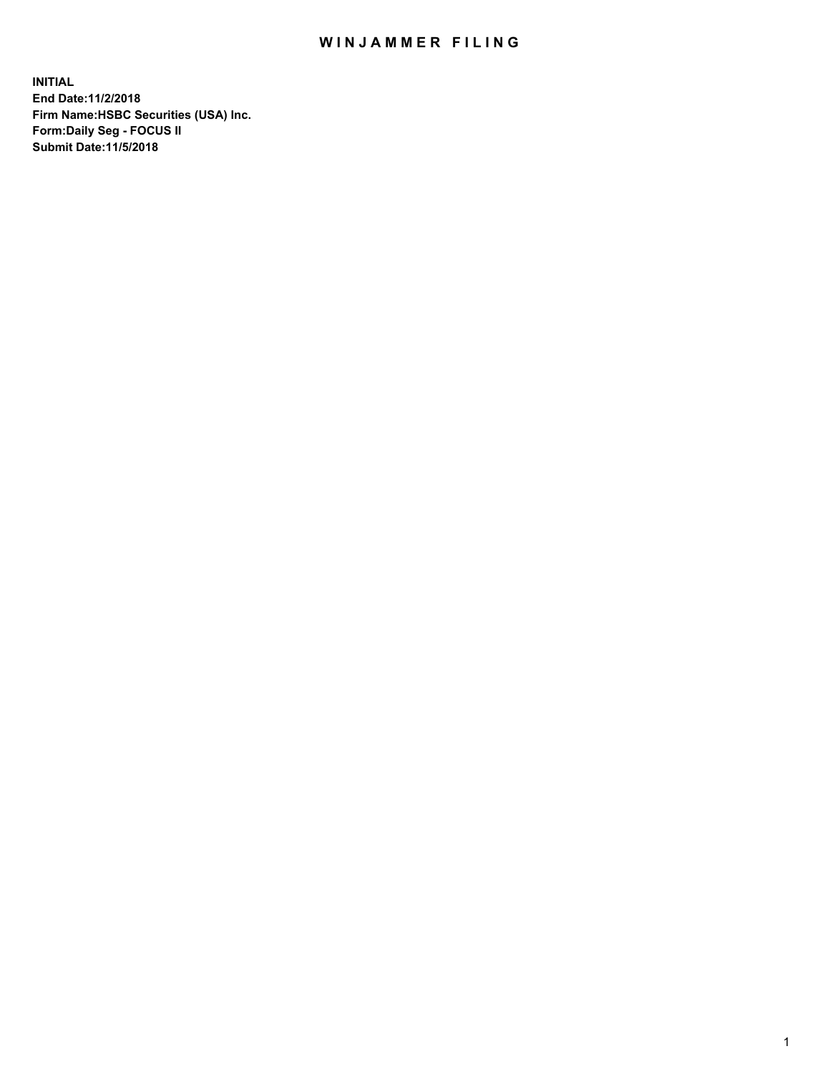## WIN JAMMER FILING

**INITIAL End Date:11/2/2018 Firm Name:HSBC Securities (USA) Inc. Form:Daily Seg - FOCUS II Submit Date:11/5/2018**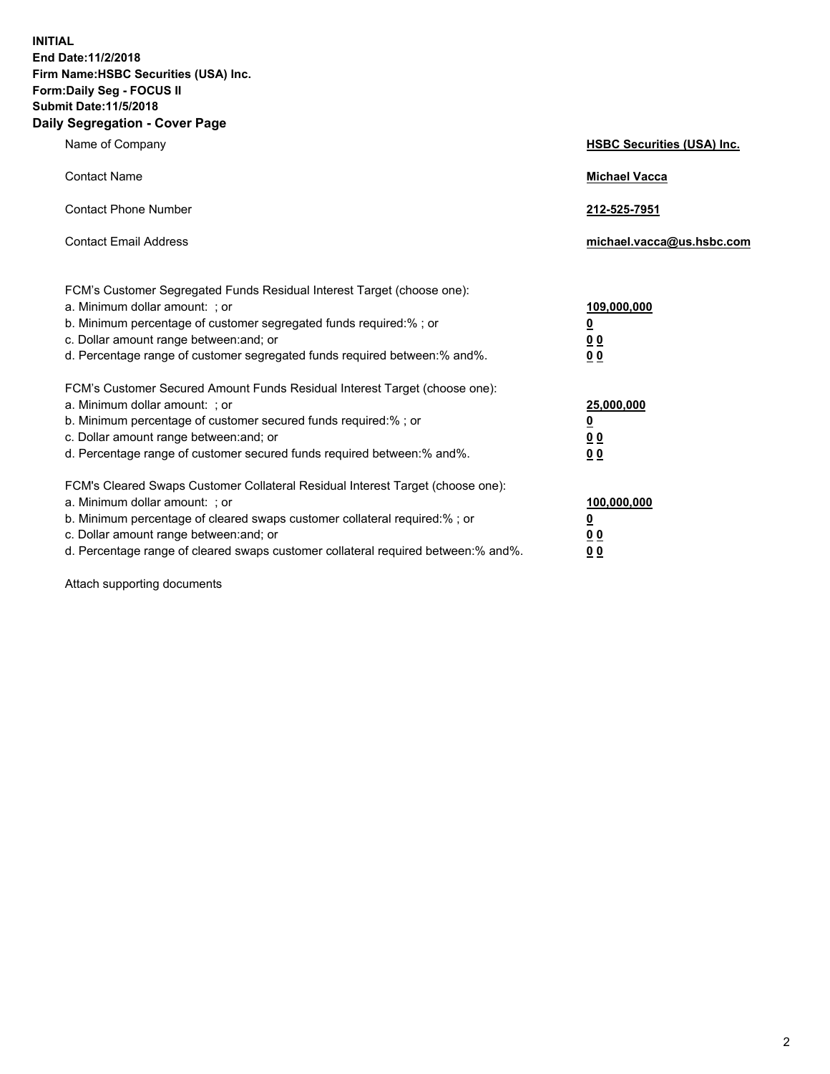**INITIAL End Date:11/2/2018 Firm Name:HSBC Securities (USA) Inc. Form:Daily Seg - FOCUS II Submit Date:11/5/2018 Daily Segregation - Cover Page**

| Name of Company                                                                                                                                                                                                                                                                                                               | <b>HSBC Securities (USA) Inc.</b>                                          |
|-------------------------------------------------------------------------------------------------------------------------------------------------------------------------------------------------------------------------------------------------------------------------------------------------------------------------------|----------------------------------------------------------------------------|
| <b>Contact Name</b>                                                                                                                                                                                                                                                                                                           | <b>Michael Vacca</b>                                                       |
| <b>Contact Phone Number</b>                                                                                                                                                                                                                                                                                                   | 212-525-7951                                                               |
| <b>Contact Email Address</b>                                                                                                                                                                                                                                                                                                  | michael.vacca@us.hsbc.com                                                  |
| FCM's Customer Segregated Funds Residual Interest Target (choose one):<br>a. Minimum dollar amount: ; or<br>b. Minimum percentage of customer segregated funds required:%; or<br>c. Dollar amount range between: and; or<br>d. Percentage range of customer segregated funds required between:% and%.                         | 109,000,000<br>$\overline{\mathbf{0}}$<br>0 <sub>0</sub><br>0 <sub>0</sub> |
| FCM's Customer Secured Amount Funds Residual Interest Target (choose one):<br>a. Minimum dollar amount: ; or<br>b. Minimum percentage of customer secured funds required:%; or<br>c. Dollar amount range between: and; or<br>d. Percentage range of customer secured funds required between:% and%.                           | 25,000,000<br><u>0</u><br>0 <sub>0</sub><br>0 <sub>0</sub>                 |
| FCM's Cleared Swaps Customer Collateral Residual Interest Target (choose one):<br>a. Minimum dollar amount: ; or<br>b. Minimum percentage of cleared swaps customer collateral required:%; or<br>c. Dollar amount range between: and; or<br>d. Percentage range of cleared swaps customer collateral required between:% and%. | 100,000,000<br><u>0</u><br><u>00</u><br>00                                 |

Attach supporting documents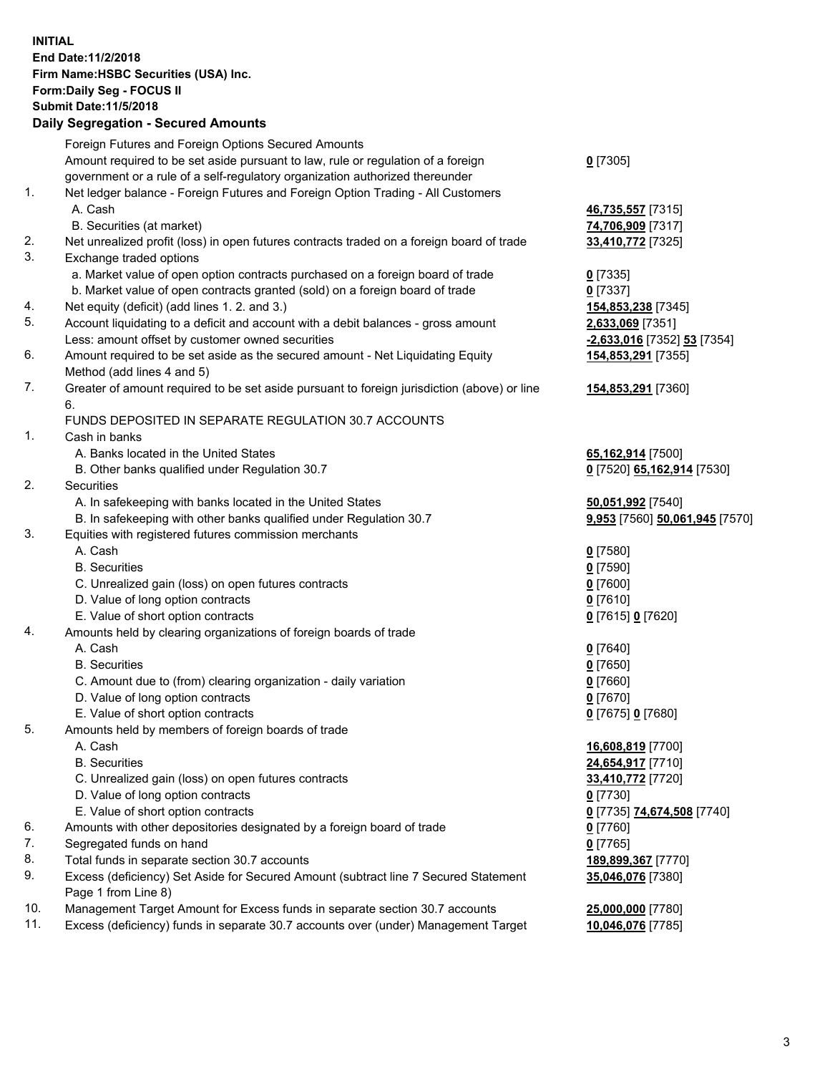**INITIAL End Date:11/2/2018 Firm Name:HSBC Securities (USA) Inc. Form:Daily Seg - FOCUS II Submit Date:11/5/2018 Daily Segregation - Secured Amounts** Foreign Futures and Foreign Options Secured Amounts Amount required to be set aside pursuant to law, rule or regulation of a foreign government or a rule of a self-regulatory organization authorized thereunder **0** [7305] 1. Net ledger balance - Foreign Futures and Foreign Option Trading - All Customers A. Cash **46,735,557** [7315] B. Securities (at market) **74,706,909** [7317] 2. Net unrealized profit (loss) in open futures contracts traded on a foreign board of trade **33,410,772** [7325] 3. Exchange traded options a. Market value of open option contracts purchased on a foreign board of trade **0** [7335] b. Market value of open contracts granted (sold) on a foreign board of trade **0** [7337] 4. Net equity (deficit) (add lines 1. 2. and 3.) **154,853,238** [7345] 5. Account liquidating to a deficit and account with a debit balances - gross amount **2,633,069** [7351] Less: amount offset by customer owned securities **-2,633,016** [7352] **53** [7354] 6. Amount required to be set aside as the secured amount - Net Liquidating Equity Method (add lines 4 and 5) **154,853,291** [7355] 7. Greater of amount required to be set aside pursuant to foreign jurisdiction (above) or line 6. **154,853,291** [7360] FUNDS DEPOSITED IN SEPARATE REGULATION 30.7 ACCOUNTS 1. Cash in banks A. Banks located in the United States **65,162,914** [7500] B. Other banks qualified under Regulation 30.7 **0** [7520] **65,162,914** [7530] 2. Securities A. In safekeeping with banks located in the United States **50,051,992** [7540] B. In safekeeping with other banks qualified under Regulation 30.7 **9,953** [7560] **50,061,945** [7570] 3. Equities with registered futures commission merchants A. Cash **0** [7580] B. Securities **0** [7590] C. Unrealized gain (loss) on open futures contracts **0** [7600] D. Value of long option contracts **0** [7610] E. Value of short option contracts **0** [7615] **0** [7620] 4. Amounts held by clearing organizations of foreign boards of trade A. Cash **0** [7640] B. Securities **0** [7650] C. Amount due to (from) clearing organization - daily variation **0** [7660] D. Value of long option contracts **0** [7670] E. Value of short option contracts **0** [7675] **0** [7680] 5. Amounts held by members of foreign boards of trade A. Cash **16,608,819** [7700] B. Securities **24,654,917** [7710] C. Unrealized gain (loss) on open futures contracts **33,410,772** [7720] D. Value of long option contracts **0** [7730] E. Value of short option contracts **0** [7735] **74,674,508** [7740]

- 6. Amounts with other depositories designated by a foreign board of trade **0** [7760]
- 7. Segregated funds on hand **0** [7765]
- 8. Total funds in separate section 30.7 accounts **189,899,367** [7770]
- 9. Excess (deficiency) Set Aside for Secured Amount (subtract line 7 Secured Statement Page 1 from Line 8)
- 10. Management Target Amount for Excess funds in separate section 30.7 accounts **25,000,000** [7780]
- 11. Excess (deficiency) funds in separate 30.7 accounts over (under) Management Target **10,046,076** [7785]

**35,046,076** [7380]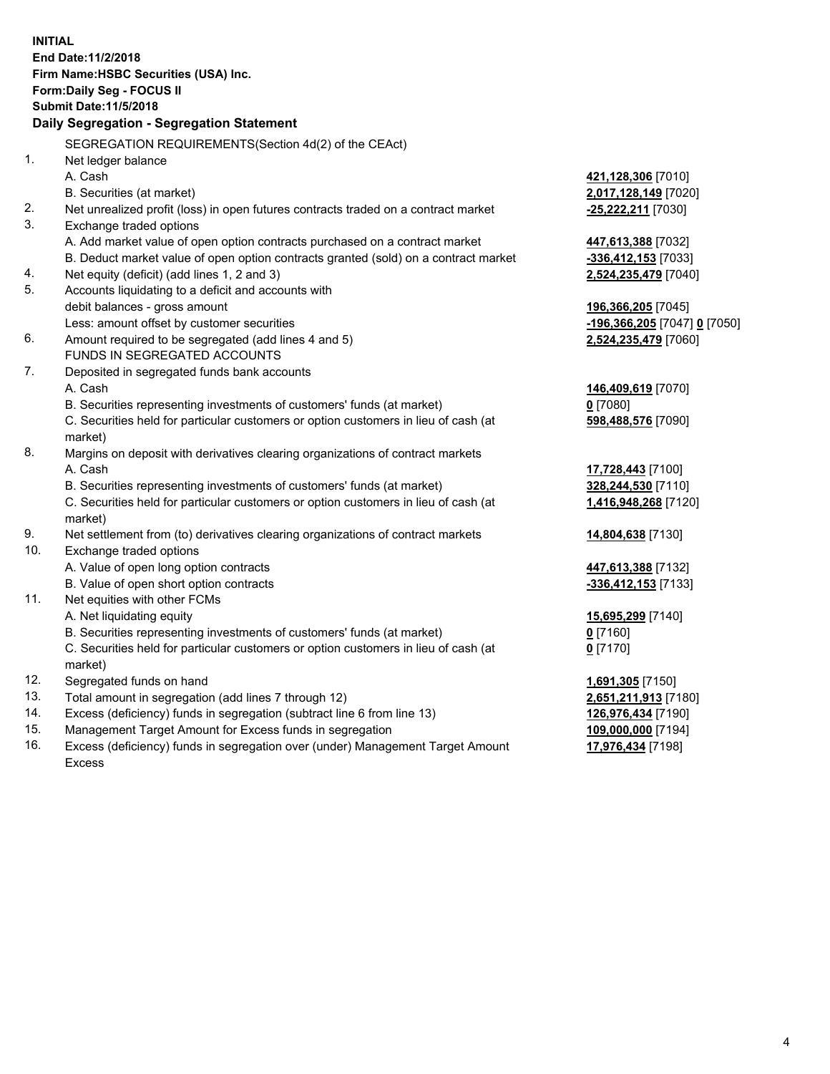|     | <b>INITIAL</b><br>End Date: 11/2/2018<br>Firm Name: HSBC Securities (USA) Inc.<br>Form: Daily Seg - FOCUS II<br><b>Submit Date:11/5/2018</b><br>Daily Segregation - Segregation Statement |                              |
|-----|-------------------------------------------------------------------------------------------------------------------------------------------------------------------------------------------|------------------------------|
|     | SEGREGATION REQUIREMENTS (Section 4d(2) of the CEAct)                                                                                                                                     |                              |
| 1.  | Net ledger balance                                                                                                                                                                        |                              |
|     | A. Cash                                                                                                                                                                                   | 421,128,306 [7010]           |
|     | B. Securities (at market)                                                                                                                                                                 | 2,017,128,149 [7020]         |
| 2.  | Net unrealized profit (loss) in open futures contracts traded on a contract market                                                                                                        | -25,222,211 [7030]           |
| 3.  | Exchange traded options                                                                                                                                                                   |                              |
|     | A. Add market value of open option contracts purchased on a contract market                                                                                                               | 447,613,388 [7032]           |
|     | B. Deduct market value of open option contracts granted (sold) on a contract market                                                                                                       | -336,412,153 [7033]          |
| 4.  | Net equity (deficit) (add lines 1, 2 and 3)                                                                                                                                               | 2,524,235,479 [7040]         |
| 5.  | Accounts liquidating to a deficit and accounts with                                                                                                                                       |                              |
|     | debit balances - gross amount                                                                                                                                                             | 196,366,205 [7045]           |
|     | Less: amount offset by customer securities                                                                                                                                                | -196,366,205 [7047] 0 [7050] |
| 6.  | Amount required to be segregated (add lines 4 and 5)                                                                                                                                      | 2,524,235,479 [7060]         |
|     | FUNDS IN SEGREGATED ACCOUNTS                                                                                                                                                              |                              |
| 7.  | Deposited in segregated funds bank accounts                                                                                                                                               |                              |
|     | A. Cash                                                                                                                                                                                   | 146,409,619 [7070]           |
|     | B. Securities representing investments of customers' funds (at market)                                                                                                                    | $0$ [7080]                   |
|     | C. Securities held for particular customers or option customers in lieu of cash (at                                                                                                       | 598,488,576 [7090]           |
|     | market)                                                                                                                                                                                   |                              |
| 8.  | Margins on deposit with derivatives clearing organizations of contract markets                                                                                                            |                              |
|     | A. Cash                                                                                                                                                                                   | 17,728,443 [7100]            |
|     | B. Securities representing investments of customers' funds (at market)                                                                                                                    | 328,244,530 [7110]           |
|     | C. Securities held for particular customers or option customers in lieu of cash (at<br>market)                                                                                            | 1,416,948,268 [7120]         |
| 9.  | Net settlement from (to) derivatives clearing organizations of contract markets                                                                                                           | 14,804,638 [7130]            |
| 10. | Exchange traded options                                                                                                                                                                   |                              |
|     | A. Value of open long option contracts                                                                                                                                                    | 447,613,388 [7132]           |
|     | B. Value of open short option contracts                                                                                                                                                   | $-336,412,153$ [7133]        |
| 11. | Net equities with other FCMs                                                                                                                                                              |                              |
|     | A. Net liquidating equity                                                                                                                                                                 | 15,695,299 [7140]            |
|     | B. Securities representing investments of customers' funds (at market)                                                                                                                    | $0$ [7160]                   |
|     | C. Securities held for particular customers or option customers in lieu of cash (at                                                                                                       | $0$ [7170]                   |
|     | market)                                                                                                                                                                                   |                              |
| 12. | Segregated funds on hand                                                                                                                                                                  | 1,691,305 [7150]             |
| 13. | Total amount in segregation (add lines 7 through 12)                                                                                                                                      | 2,651,211,913 [7180]         |
| 14. | Excess (deficiency) funds in segregation (subtract line 6 from line 13)                                                                                                                   | 126,976,434 [7190]           |
| 15. | Management Target Amount for Excess funds in segregation                                                                                                                                  | 109,000,000 [7194]           |
| 16. | Excess (deficiency) funds in segregation over (under) Management Target Amount                                                                                                            | 17,976,434 [7198]            |

16. Excess (deficiency) funds in segregation over (under) Management Target Amount Excess